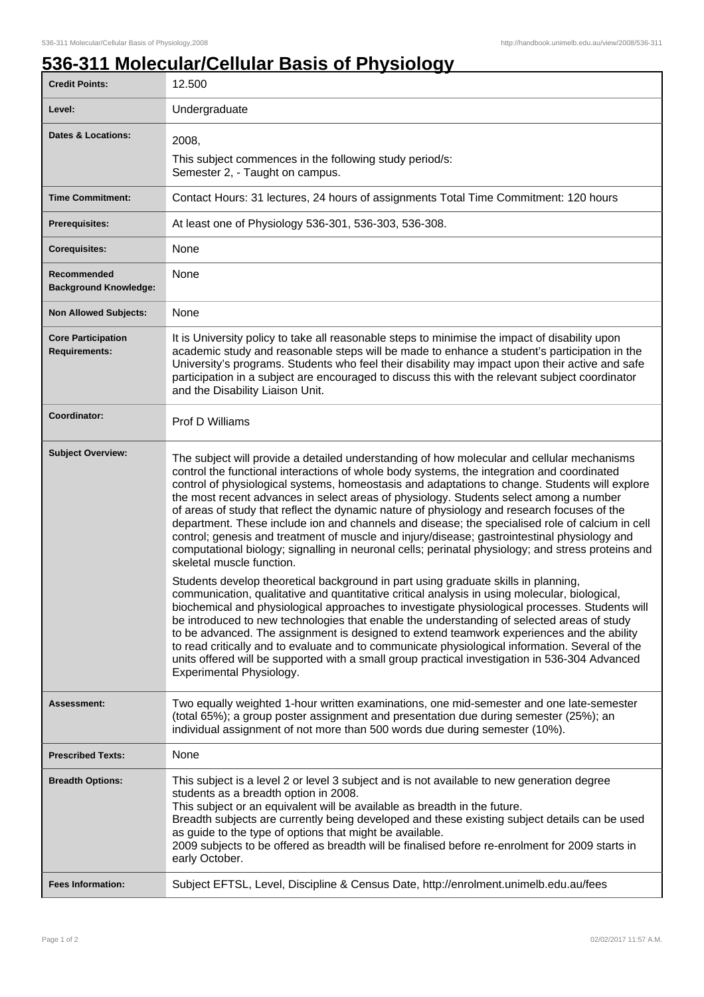1

## **536-311 Molecular/Cellular Basis of Physiology**

| <b>Credit Points:</b>                             | 12.500                                                                                                                                                                                                                                                                                                                                                                                                                                                                                                                                                                                                                                                                                                                                                                                                                                                                                                                                                                                                                                                                                                                                                                                                                                                                                                                                                                                                                                                                                                             |
|---------------------------------------------------|--------------------------------------------------------------------------------------------------------------------------------------------------------------------------------------------------------------------------------------------------------------------------------------------------------------------------------------------------------------------------------------------------------------------------------------------------------------------------------------------------------------------------------------------------------------------------------------------------------------------------------------------------------------------------------------------------------------------------------------------------------------------------------------------------------------------------------------------------------------------------------------------------------------------------------------------------------------------------------------------------------------------------------------------------------------------------------------------------------------------------------------------------------------------------------------------------------------------------------------------------------------------------------------------------------------------------------------------------------------------------------------------------------------------------------------------------------------------------------------------------------------------|
| Level:                                            | Undergraduate                                                                                                                                                                                                                                                                                                                                                                                                                                                                                                                                                                                                                                                                                                                                                                                                                                                                                                                                                                                                                                                                                                                                                                                                                                                                                                                                                                                                                                                                                                      |
| <b>Dates &amp; Locations:</b>                     | 2008,<br>This subject commences in the following study period/s:<br>Semester 2, - Taught on campus.                                                                                                                                                                                                                                                                                                                                                                                                                                                                                                                                                                                                                                                                                                                                                                                                                                                                                                                                                                                                                                                                                                                                                                                                                                                                                                                                                                                                                |
| <b>Time Commitment:</b>                           | Contact Hours: 31 lectures, 24 hours of assignments Total Time Commitment: 120 hours                                                                                                                                                                                                                                                                                                                                                                                                                                                                                                                                                                                                                                                                                                                                                                                                                                                                                                                                                                                                                                                                                                                                                                                                                                                                                                                                                                                                                               |
| <b>Prerequisites:</b>                             | At least one of Physiology 536-301, 536-303, 536-308.                                                                                                                                                                                                                                                                                                                                                                                                                                                                                                                                                                                                                                                                                                                                                                                                                                                                                                                                                                                                                                                                                                                                                                                                                                                                                                                                                                                                                                                              |
| <b>Corequisites:</b>                              | None                                                                                                                                                                                                                                                                                                                                                                                                                                                                                                                                                                                                                                                                                                                                                                                                                                                                                                                                                                                                                                                                                                                                                                                                                                                                                                                                                                                                                                                                                                               |
| Recommended<br><b>Background Knowledge:</b>       | None                                                                                                                                                                                                                                                                                                                                                                                                                                                                                                                                                                                                                                                                                                                                                                                                                                                                                                                                                                                                                                                                                                                                                                                                                                                                                                                                                                                                                                                                                                               |
| <b>Non Allowed Subjects:</b>                      | None                                                                                                                                                                                                                                                                                                                                                                                                                                                                                                                                                                                                                                                                                                                                                                                                                                                                                                                                                                                                                                                                                                                                                                                                                                                                                                                                                                                                                                                                                                               |
| <b>Core Participation</b><br><b>Requirements:</b> | It is University policy to take all reasonable steps to minimise the impact of disability upon<br>academic study and reasonable steps will be made to enhance a student's participation in the<br>University's programs. Students who feel their disability may impact upon their active and safe<br>participation in a subject are encouraged to discuss this with the relevant subject coordinator<br>and the Disability Liaison Unit.                                                                                                                                                                                                                                                                                                                                                                                                                                                                                                                                                                                                                                                                                                                                                                                                                                                                                                                                                                                                                                                                           |
| Coordinator:                                      | <b>Prof D Williams</b>                                                                                                                                                                                                                                                                                                                                                                                                                                                                                                                                                                                                                                                                                                                                                                                                                                                                                                                                                                                                                                                                                                                                                                                                                                                                                                                                                                                                                                                                                             |
| <b>Subject Overview:</b>                          | The subject will provide a detailed understanding of how molecular and cellular mechanisms<br>control the functional interactions of whole body systems, the integration and coordinated<br>control of physiological systems, homeostasis and adaptations to change. Students will explore<br>the most recent advances in select areas of physiology. Students select among a number<br>of areas of study that reflect the dynamic nature of physiology and research focuses of the<br>department. These include ion and channels and disease; the specialised role of calcium in cell<br>control; genesis and treatment of muscle and injury/disease; gastrointestinal physiology and<br>computational biology; signalling in neuronal cells; perinatal physiology; and stress proteins and<br>skeletal muscle function.<br>Students develop theoretical background in part using graduate skills in planning,<br>communication, qualitative and quantitative critical analysis in using molecular, biological,<br>biochemical and physiological approaches to investigate physiological processes. Students will<br>be introduced to new technologies that enable the understanding of selected areas of study<br>to be advanced. The assignment is designed to extend teamwork experiences and the ability<br>to read critically and to evaluate and to communicate physiological information. Several of the<br>units offered will be supported with a small group practical investigation in 536-304 Advanced |
|                                                   | Experimental Physiology.                                                                                                                                                                                                                                                                                                                                                                                                                                                                                                                                                                                                                                                                                                                                                                                                                                                                                                                                                                                                                                                                                                                                                                                                                                                                                                                                                                                                                                                                                           |
| Assessment:                                       | Two equally weighted 1-hour written examinations, one mid-semester and one late-semester<br>(total 65%); a group poster assignment and presentation due during semester (25%); an<br>individual assignment of not more than 500 words due during semester (10%).                                                                                                                                                                                                                                                                                                                                                                                                                                                                                                                                                                                                                                                                                                                                                                                                                                                                                                                                                                                                                                                                                                                                                                                                                                                   |
| <b>Prescribed Texts:</b>                          | None                                                                                                                                                                                                                                                                                                                                                                                                                                                                                                                                                                                                                                                                                                                                                                                                                                                                                                                                                                                                                                                                                                                                                                                                                                                                                                                                                                                                                                                                                                               |
| <b>Breadth Options:</b>                           | This subject is a level 2 or level 3 subject and is not available to new generation degree<br>students as a breadth option in 2008.<br>This subject or an equivalent will be available as breadth in the future.<br>Breadth subjects are currently being developed and these existing subject details can be used<br>as guide to the type of options that might be available.<br>2009 subjects to be offered as breadth will be finalised before re-enrolment for 2009 starts in<br>early October.                                                                                                                                                                                                                                                                                                                                                                                                                                                                                                                                                                                                                                                                                                                                                                                                                                                                                                                                                                                                                 |
| <b>Fees Information:</b>                          | Subject EFTSL, Level, Discipline & Census Date, http://enrolment.unimelb.edu.au/fees                                                                                                                                                                                                                                                                                                                                                                                                                                                                                                                                                                                                                                                                                                                                                                                                                                                                                                                                                                                                                                                                                                                                                                                                                                                                                                                                                                                                                               |